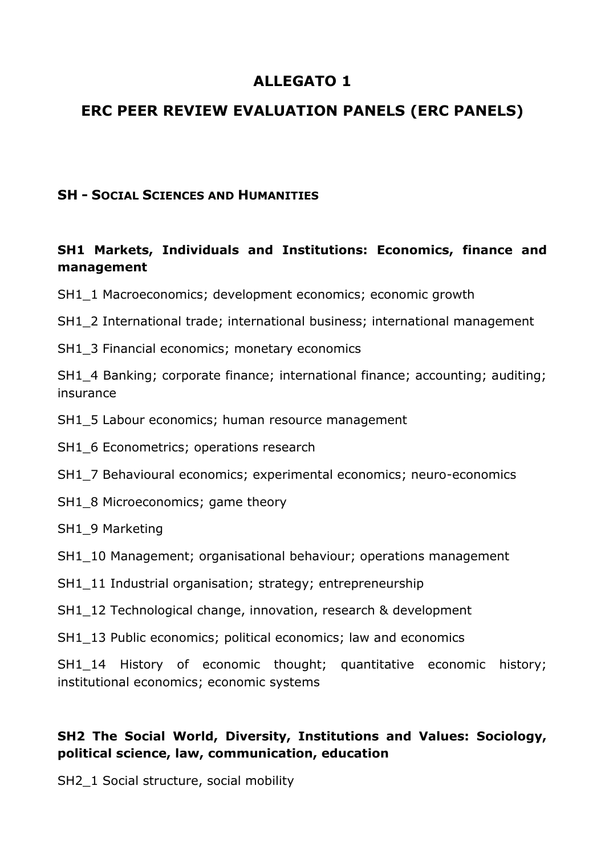# **ALLEGATO 1**

# **ERC PEER REVIEW EVALUATION PANELS (ERC PANELS)**

#### **SH - SOCIAL SCIENCES AND HUMANITIES**

#### **SH1 Markets, Individuals and Institutions: Economics, finance and management**

SH1\_1 Macroeconomics; development economics; economic growth

SH1\_2 International trade; international business; international management

SH1\_3 Financial economics; monetary economics

SH1\_4 Banking; corporate finance; international finance; accounting; auditing; insurance

- SH1\_5 Labour economics; human resource management
- SH1\_6 Econometrics; operations research
- SH1\_7 Behavioural economics; experimental economics; neuro-economics
- SH1\_8 Microeconomics; game theory
- SH1\_9 Marketing
- SH1\_10 Management; organisational behaviour; operations management
- SH1\_11 Industrial organisation; strategy; entrepreneurship
- SH1\_12 Technological change, innovation, research & development
- SH1 13 Public economics; political economics; law and economics

SH1 14 History of economic thought; quantitative economic history; institutional economics; economic systems

#### **SH2 The Social World, Diversity, Institutions and Values: Sociology, political science, law, communication, education**

SH2\_1 Social structure, social mobility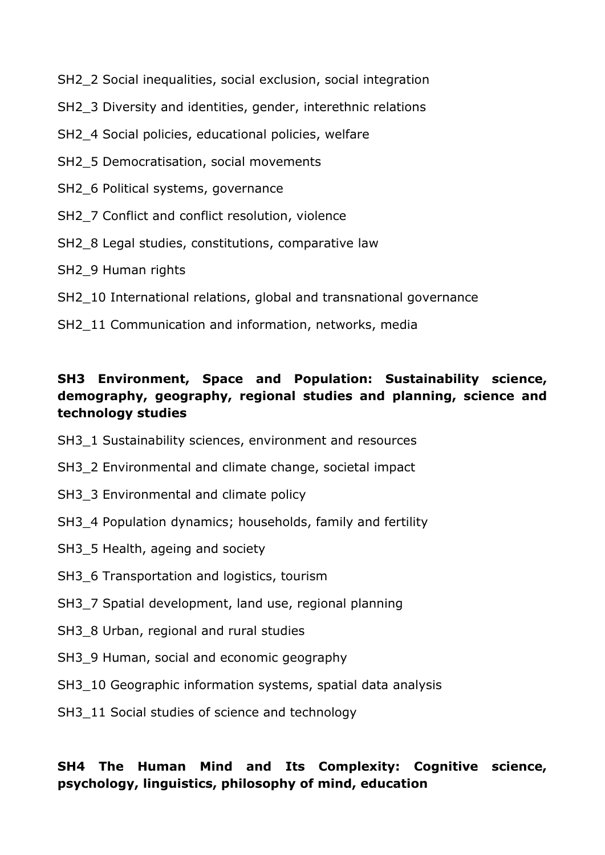- SH2\_2 Social inequalities, social exclusion, social integration
- SH2, 3 Diversity and identities, gender, interethnic relations
- SH2\_4 Social policies, educational policies, welfare
- SH2\_5 Democratisation, social movements
- SH2 6 Political systems, governance
- SH2\_7 Conflict and conflict resolution, violence
- SH2 8 Legal studies, constitutions, comparative law
- SH<sub>2</sub> 9 Human rights
- SH2 10 International relations, global and transnational governance
- SH2 11 Communication and information, networks, media

#### **SH3 Environment, Space and Population: Sustainability science, demography, geography, regional studies and planning, science and technology studies**

- SH3\_1 Sustainability sciences, environment and resources
- SH3<sup>2</sup> Environmental and climate change, societal impact
- SH3\_3 Environmental and climate policy
- SH3 4 Population dynamics; households, family and fertility
- SH3 5 Health, ageing and society
- SH3\_6 Transportation and logistics, tourism
- SH3\_7 Spatial development, land use, regional planning
- SH3 8 Urban, regional and rural studies
- SH3\_9 Human, social and economic geography
- SH3 10 Geographic information systems, spatial data analysis
- SH3 11 Social studies of science and technology

## **SH4 The Human Mind and Its Complexity: Cognitive science, psychology, linguistics, philosophy of mind, education**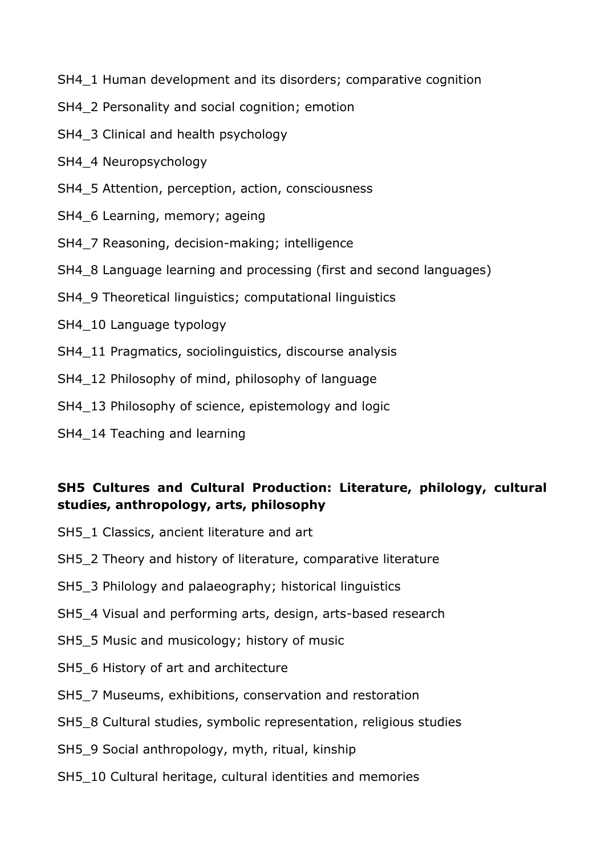SH4\_1 Human development and its disorders; comparative cognition

- SH4\_2 Personality and social cognition; emotion
- SH4 3 Clinical and health psychology
- SH4\_4 Neuropsychology
- SH4\_5 Attention, perception, action, consciousness
- SH4 6 Learning, memory; ageing
- SH4\_7 Reasoning, decision-making; intelligence
- SH4\_8 Language learning and processing (first and second languages)
- SH4\_9 Theoretical linguistics; computational linguistics
- SH4 10 Language typology
- SH4 11 Pragmatics, sociolinguistics, discourse analysis
- SH4\_12 Philosophy of mind, philosophy of language
- SH4\_13 Philosophy of science, epistemology and logic
- SH4 14 Teaching and learning

#### **SH5 Cultures and Cultural Production: Literature, philology, cultural studies, anthropology, arts, philosophy**

- SH5\_1 Classics, ancient literature and art
- SH5\_2 Theory and history of literature, comparative literature
- SH5<sup>3</sup> Philology and palaeography; historical linguistics
- SH5\_4 Visual and performing arts, design, arts-based research
- SH5\_5 Music and musicology; history of music
- SH5\_6 History of art and architecture
- SH5<sub>7</sub> Museums, exhibitions, conservation and restoration
- SH5\_8 Cultural studies, symbolic representation, religious studies
- SH5\_9 Social anthropology, myth, ritual, kinship
- SH5\_10 Cultural heritage, cultural identities and memories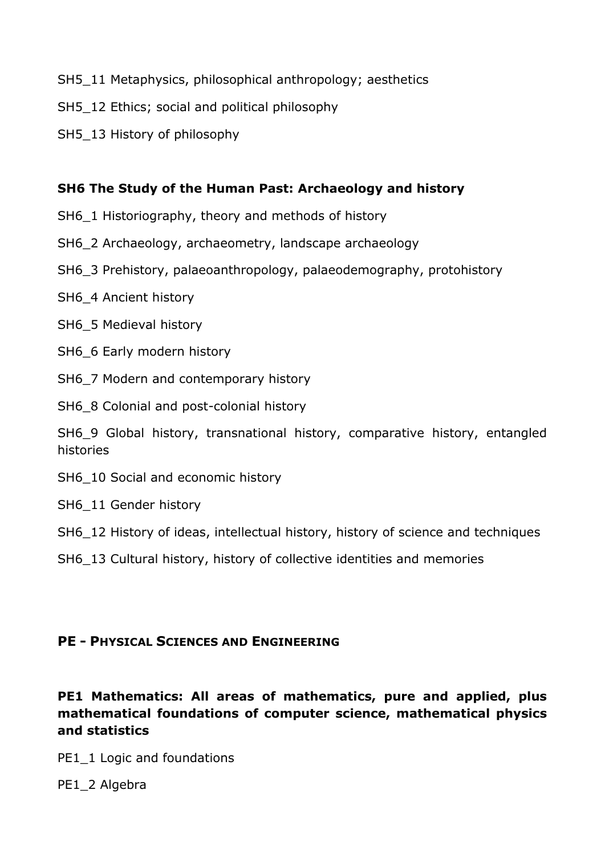- SH5\_11 Metaphysics, philosophical anthropology; aesthetics
- SH5\_12 Ethics; social and political philosophy
- SH5\_13 History of philosophy

#### **SH6 The Study of the Human Past: Archaeology and history**

- SH6\_1 Historiography, theory and methods of history
- SH6\_2 Archaeology, archaeometry, landscape archaeology
- SH6\_3 Prehistory, palaeoanthropology, palaeodemography, protohistory
- SH6\_4 Ancient history
- SH6\_5 Medieval history
- SH6\_6 Early modern history
- SH6<sup>7</sup> Modern and contemporary history
- SH6<sub>8</sub> Colonial and post-colonial history

SH6\_9 Global history, transnational history, comparative history, entangled histories

- SH6 10 Social and economic history
- SH6 11 Gender history
- SH6\_12 History of ideas, intellectual history, history of science and techniques
- SH6\_13 Cultural history, history of collective identities and memories

#### **PE - PHYSICAL SCIENCES AND ENGINEERING**

## **PE1 Mathematics: All areas of mathematics, pure and applied, plus mathematical foundations of computer science, mathematical physics and statistics**

PE1\_1 Logic and foundations

PE1\_2 Algebra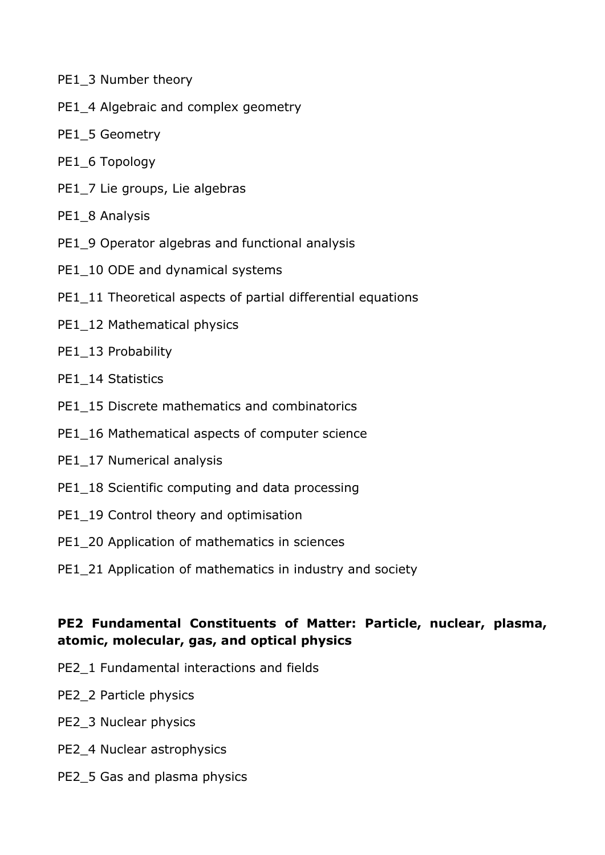- PE1\_3 Number theory
- PE1\_4 Algebraic and complex geometry
- PE1\_5 Geometry
- PE1\_6 Topology
- PE1\_7 Lie groups, Lie algebras
- PE1\_8 Analysis
- PE1\_9 Operator algebras and functional analysis
- PE1\_10 ODE and dynamical systems
- PE1\_11 Theoretical aspects of partial differential equations
- PE1\_12 Mathematical physics
- PE1\_13 Probability
- PE1\_14 Statistics
- PE1\_15 Discrete mathematics and combinatorics
- PE1\_16 Mathematical aspects of computer science
- PE1\_17 Numerical analysis
- PE1\_18 Scientific computing and data processing
- PE1\_19 Control theory and optimisation
- PE1\_20 Application of mathematics in sciences
- PE1\_21 Application of mathematics in industry and society

#### **PE2 Fundamental Constituents of Matter: Particle, nuclear, plasma, atomic, molecular, gas, and optical physics**

- PE2\_1 Fundamental interactions and fields
- PE2\_2 Particle physics
- PE2\_3 Nuclear physics
- PE2\_4 Nuclear astrophysics
- PE2\_5 Gas and plasma physics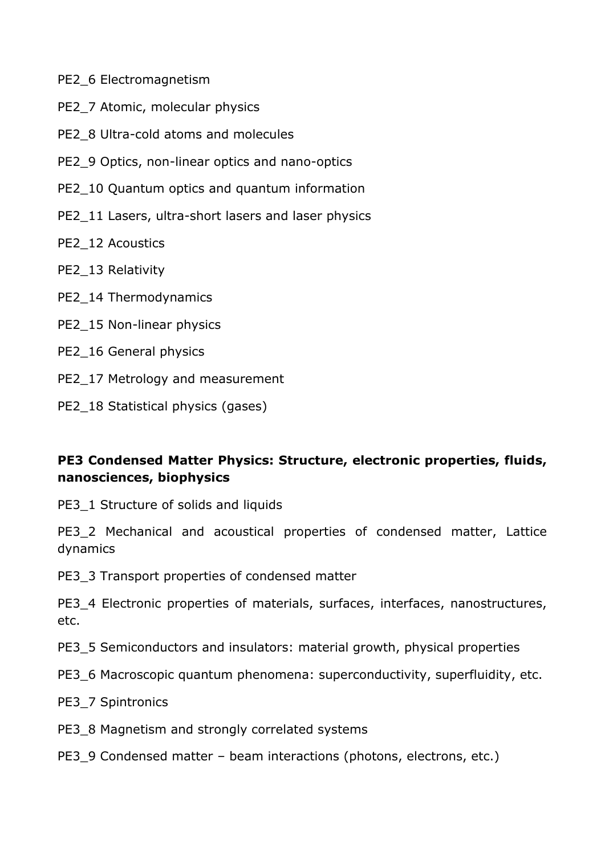- PE2\_6 Electromagnetism
- PE2\_7 Atomic, molecular physics
- PE2\_8 Ultra-cold atoms and molecules
- PE2\_9 Optics, non-linear optics and nano-optics
- PE2\_10 Quantum optics and quantum information
- PE2\_11 Lasers, ultra-short lasers and laser physics
- PE2\_12 Acoustics
- PE2 13 Relativity
- PE2\_14 Thermodynamics
- PE2 15 Non-linear physics
- PE2 16 General physics
- PE2\_17 Metrology and measurement
- PE2\_18 Statistical physics (gases)

## **PE3 Condensed Matter Physics: Structure, electronic properties, fluids, nanosciences, biophysics**

PE3\_1 Structure of solids and liquids

PE3\_2 Mechanical and acoustical properties of condensed matter, Lattice dynamics

PE3\_3 Transport properties of condensed matter

PE3\_4 Electronic properties of materials, surfaces, interfaces, nanostructures, etc.

- PE3\_5 Semiconductors and insulators: material growth, physical properties
- PE3\_6 Macroscopic quantum phenomena: superconductivity, superfluidity, etc.
- PE3\_7 Spintronics
- PE3\_8 Magnetism and strongly correlated systems
- PE3\_9 Condensed matter beam interactions (photons, electrons, etc.)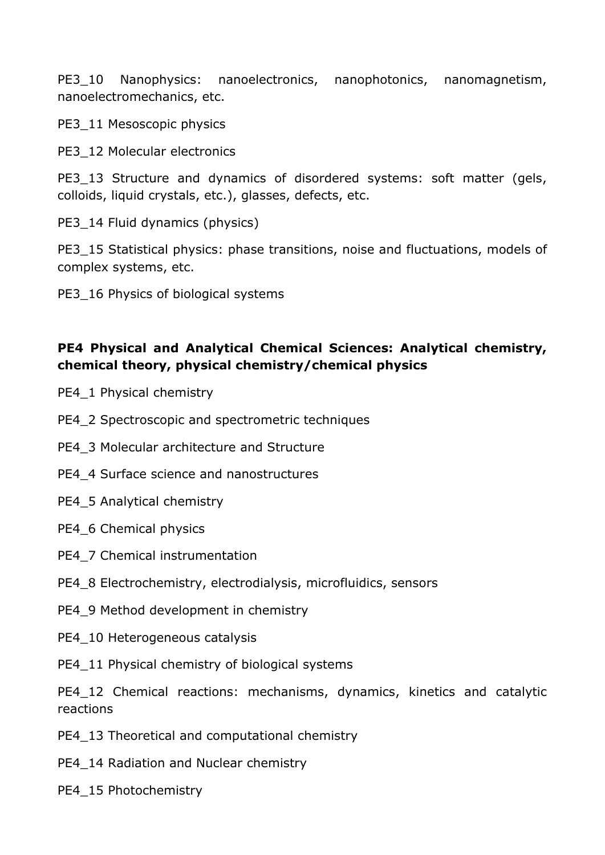PE3 10 Nanophysics: nanoelectronics, nanophotonics, nanomagnetism, nanoelectromechanics, etc.

PE3\_11 Mesoscopic physics

PE3\_12 Molecular electronics

PE3 13 Structure and dynamics of disordered systems: soft matter (gels, colloids, liquid crystals, etc.), glasses, defects, etc.

PE3 14 Fluid dynamics (physics)

PE3\_15 Statistical physics: phase transitions, noise and fluctuations, models of complex systems, etc.

PE3\_16 Physics of biological systems

## **PE4 Physical and Analytical Chemical Sciences: Analytical chemistry, chemical theory, physical chemistry/chemical physics**

- PE4\_1 Physical chemistry
- PE4\_2 Spectroscopic and spectrometric techniques
- PE4\_3 Molecular architecture and Structure
- PE4\_4 Surface science and nanostructures
- PE4\_5 Analytical chemistry
- PE4\_6 Chemical physics
- PE4\_7 Chemical instrumentation
- PE4\_8 Electrochemistry, electrodialysis, microfluidics, sensors
- PE4\_9 Method development in chemistry
- PE4 10 Heterogeneous catalysis

PE4\_11 Physical chemistry of biological systems

PE4\_12 Chemical reactions: mechanisms, dynamics, kinetics and catalytic reactions

- PE4\_13 Theoretical and computational chemistry
- PE4\_14 Radiation and Nuclear chemistry
- PE4\_15 Photochemistry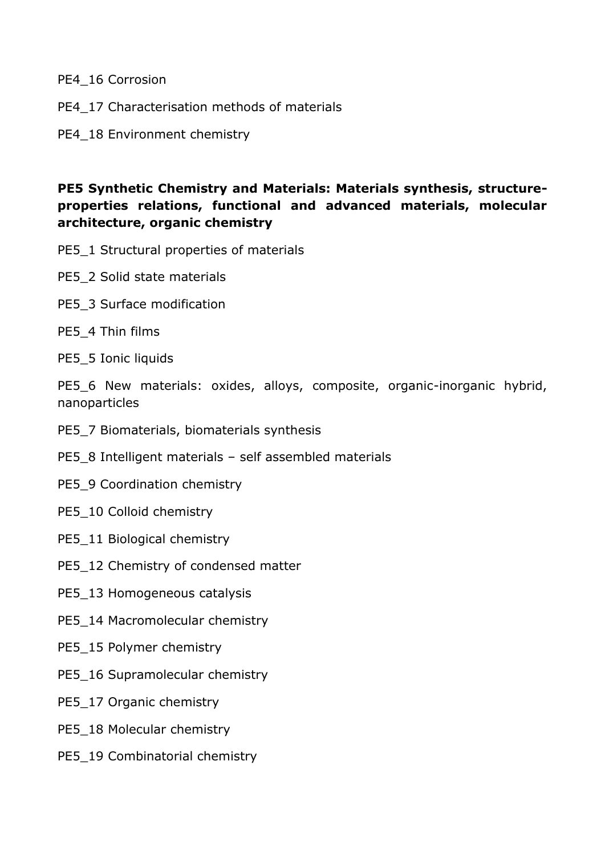PE4\_16 Corrosion

- PE4\_17 Characterisation methods of materials
- PE4\_18 Environment chemistry

#### **PE5 Synthetic Chemistry and Materials: Materials synthesis, structureproperties relations, functional and advanced materials, molecular architecture, organic chemistry**

- PE5\_1 Structural properties of materials
- PE5\_2 Solid state materials
- PE5\_3 Surface modification
- PE5\_4 Thin films
- PE5\_5 Ionic liquids

PE5\_6 New materials: oxides, alloys, composite, organic-inorganic hybrid, nanoparticles

- PE5\_7 Biomaterials, biomaterials synthesis
- PE5\_8 Intelligent materials self assembled materials
- PE5\_9 Coordination chemistry
- PE5\_10 Colloid chemistry
- PE5\_11 Biological chemistry
- PE5\_12 Chemistry of condensed matter
- PE5\_13 Homogeneous catalysis
- PE5\_14 Macromolecular chemistry
- PE5\_15 Polymer chemistry
- PE5\_16 Supramolecular chemistry
- PE5\_17 Organic chemistry
- PE5\_18 Molecular chemistry
- PE5\_19 Combinatorial chemistry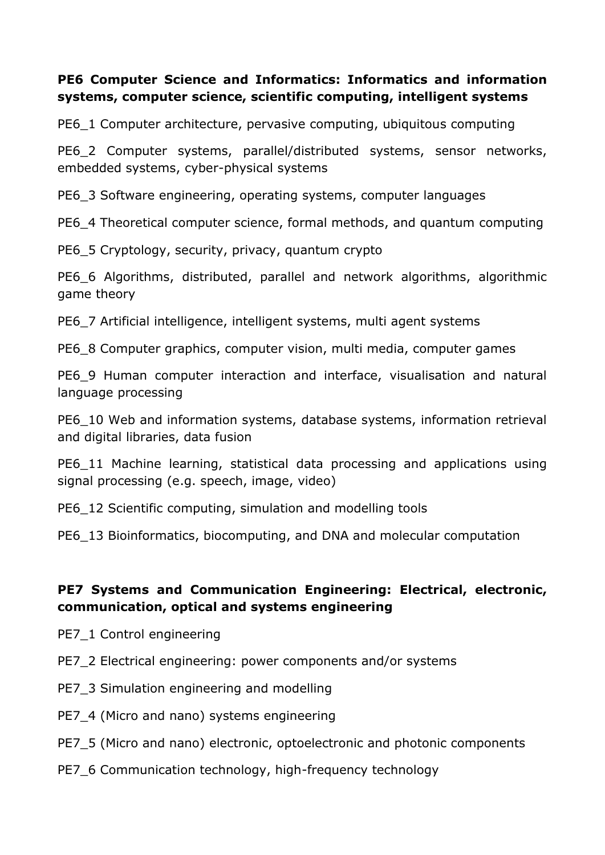#### **PE6 Computer Science and Informatics: Informatics and information systems, computer science, scientific computing, intelligent systems**

PE6\_1 Computer architecture, pervasive computing, ubiquitous computing

PE6\_2 Computer systems, parallel/distributed systems, sensor networks, embedded systems, cyber-physical systems

PE6\_3 Software engineering, operating systems, computer languages

PE6\_4 Theoretical computer science, formal methods, and quantum computing

PE6\_5 Cryptology, security, privacy, quantum crypto

PE6\_6 Algorithms, distributed, parallel and network algorithms, algorithmic game theory

PE6\_7 Artificial intelligence, intelligent systems, multi agent systems

PE6\_8 Computer graphics, computer vision, multi media, computer games

PE6<sub>9</sub> Human computer interaction and interface, visualisation and natural language processing

PE6 10 Web and information systems, database systems, information retrieval and digital libraries, data fusion

PE6 11 Machine learning, statistical data processing and applications using signal processing (e.g. speech, image, video)

PE6\_12 Scientific computing, simulation and modelling tools

PE6\_13 Bioinformatics, biocomputing, and DNA and molecular computation

## **PE7 Systems and Communication Engineering: Electrical, electronic, communication, optical and systems engineering**

- PE7\_1 Control engineering
- PE7\_2 Electrical engineering: power components and/or systems
- PE7\_3 Simulation engineering and modelling
- PE7\_4 (Micro and nano) systems engineering
- PE7\_5 (Micro and nano) electronic, optoelectronic and photonic components
- PE7\_6 Communication technology, high-frequency technology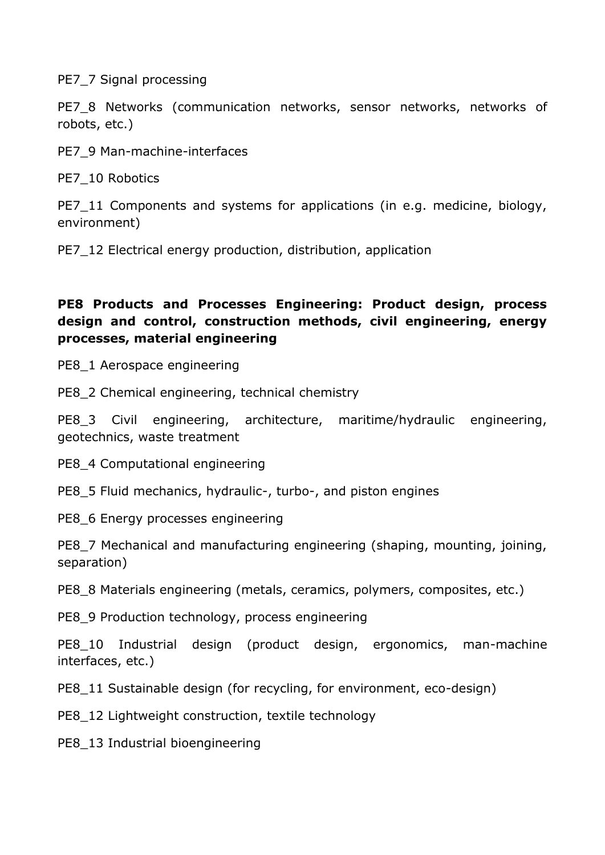PE7\_7 Signal processing

PE7\_8 Networks (communication networks, sensor networks, networks of robots, etc.)

PE7\_9 Man-machine-interfaces

PE7 10 Robotics

PE7 11 Components and systems for applications (in e.g. medicine, biology, environment)

PE7\_12 Electrical energy production, distribution, application

## **PE8 Products and Processes Engineering: Product design, process design and control, construction methods, civil engineering, energy processes, material engineering**

PE8\_1 Aerospace engineering

PE8\_2 Chemical engineering, technical chemistry

PE8\_3 Civil engineering, architecture, maritime/hydraulic engineering, geotechnics, waste treatment

PE8\_4 Computational engineering

PE8\_5 Fluid mechanics, hydraulic-, turbo-, and piston engines

PE8\_6 Energy processes engineering

PE8\_7 Mechanical and manufacturing engineering (shaping, mounting, joining, separation)

PE8\_8 Materials engineering (metals, ceramics, polymers, composites, etc.)

PE8\_9 Production technology, process engineering

PE8 10 Industrial design (product design, ergonomics, man-machine interfaces, etc.)

PE8\_11 Sustainable design (for recycling, for environment, eco-design)

PE8\_12 Lightweight construction, textile technology

PE8 13 Industrial bioengineering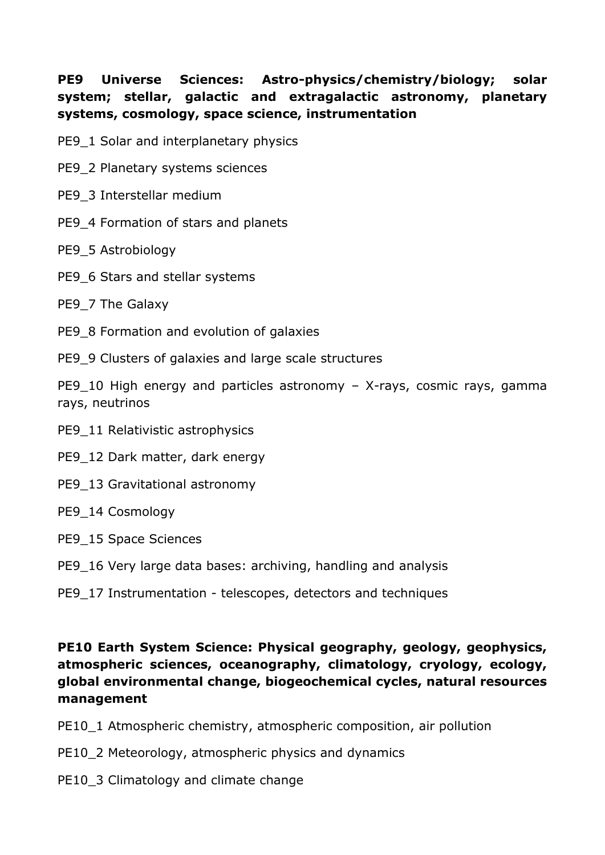## **PE9 Universe Sciences: Astro-physics/chemistry/biology; solar system; stellar, galactic and extragalactic astronomy, planetary systems, cosmology, space science, instrumentation**

- PE9\_1 Solar and interplanetary physics
- PE9\_2 Planetary systems sciences
- PE9\_3 Interstellar medium
- PE9\_4 Formation of stars and planets
- PE9\_5 Astrobiology
- PE9\_6 Stars and stellar systems
- PE9\_7 The Galaxy
- PE9\_8 Formation and evolution of galaxies
- PE9\_9 Clusters of galaxies and large scale structures

PE9 10 High energy and particles astronomy – X-rays, cosmic rays, gamma rays, neutrinos

- PE9\_11 Relativistic astrophysics
- PE9\_12 Dark matter, dark energy
- PE9\_13 Gravitational astronomy
- PE9\_14 Cosmology
- PE9\_15 Space Sciences
- PE9\_16 Very large data bases: archiving, handling and analysis

#### PE9\_17 Instrumentation - telescopes, detectors and techniques

#### **PE10 Earth System Science: Physical geography, geology, geophysics, atmospheric sciences, oceanography, climatology, cryology, ecology, global environmental change, biogeochemical cycles, natural resources management**

- PE10\_1 Atmospheric chemistry, atmospheric composition, air pollution
- PE10\_2 Meteorology, atmospheric physics and dynamics
- PE10\_3 Climatology and climate change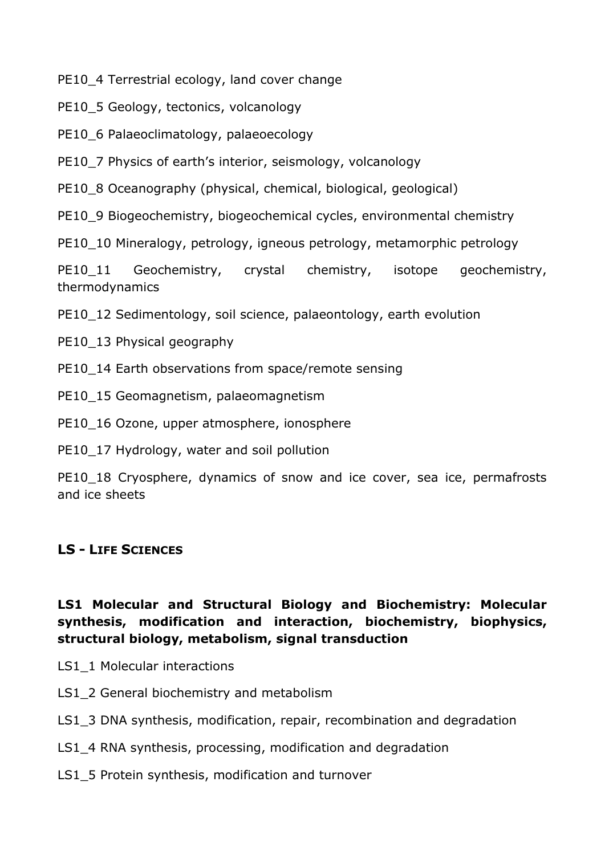PE10\_4 Terrestrial ecology, land cover change

PE10\_5 Geology, tectonics, volcanology

PE10\_6 Palaeoclimatology, palaeoecology

PE10 7 Physics of earth's interior, seismology, volcanology

PE10\_8 Oceanography (physical, chemical, biological, geological)

PE10\_9 Biogeochemistry, biogeochemical cycles, environmental chemistry

PE10 10 Mineralogy, petrology, igneous petrology, metamorphic petrology

PE10\_11 Geochemistry, crystal chemistry, isotope geochemistry, thermodynamics

PE10 12 Sedimentology, soil science, palaeontology, earth evolution

PE10\_13 Physical geography

PE10 14 Earth observations from space/remote sensing

PE10 15 Geomagnetism, palaeomagnetism

PE10\_16 Ozone, upper atmosphere, ionosphere

PE10\_17 Hydrology, water and soil pollution

PE10 18 Cryosphere, dynamics of snow and ice cover, sea ice, permafrosts and ice sheets

#### **LS - LIFE SCIENCES**

## **LS1 Molecular and Structural Biology and Biochemistry: Molecular synthesis, modification and interaction, biochemistry, biophysics, structural biology, metabolism, signal transduction**

- LS1\_1 Molecular interactions
- LS1\_2 General biochemistry and metabolism
- LS1\_3 DNA synthesis, modification, repair, recombination and degradation
- LS1\_4 RNA synthesis, processing, modification and degradation
- LS1\_5 Protein synthesis, modification and turnover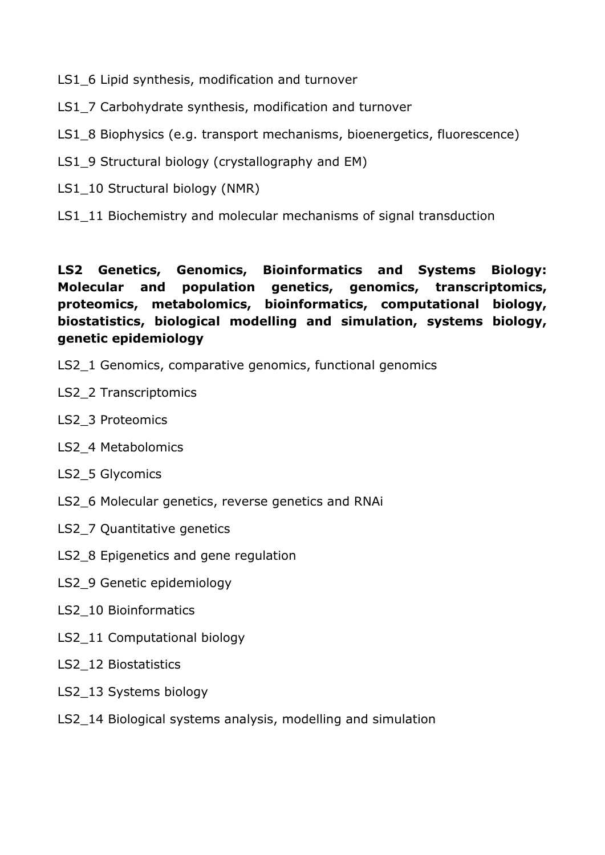- LS1\_6 Lipid synthesis, modification and turnover
- LS1\_7 Carbohydrate synthesis, modification and turnover
- LS1\_8 Biophysics (e.g. transport mechanisms, bioenergetics, fluorescence)
- LS1\_9 Structural biology (crystallography and EM)
- LS1\_10 Structural biology (NMR)
- LS1 11 Biochemistry and molecular mechanisms of signal transduction

#### **LS2 Genetics, Genomics, Bioinformatics and Systems Biology: Molecular and population genetics, genomics, transcriptomics, proteomics, metabolomics, bioinformatics, computational biology, biostatistics, biological modelling and simulation, systems biology, genetic epidemiology**

- LS2\_1 Genomics, comparative genomics, functional genomics
- LS2\_2 Transcriptomics
- LS2\_3 Proteomics
- LS2 4 Metabolomics
- LS2 5 Glycomics
- LS2\_6 Molecular genetics, reverse genetics and RNAi
- LS2\_7 Quantitative genetics
- LS2\_8 Epigenetics and gene regulation
- LS2\_9 Genetic epidemiology
- LS2\_10 Bioinformatics
- LS2\_11 Computational biology
- LS2\_12 Biostatistics
- LS2\_13 Systems biology
- LS2 14 Biological systems analysis, modelling and simulation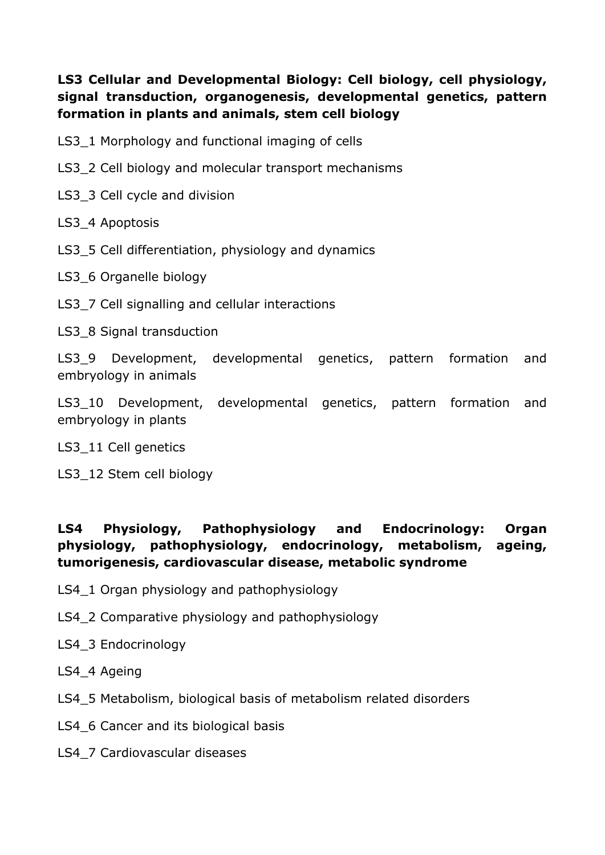## **LS3 Cellular and Developmental Biology: Cell biology, cell physiology, signal transduction, organogenesis, developmental genetics, pattern formation in plants and animals, stem cell biology**

- LS3 1 Morphology and functional imaging of cells
- LS3\_2 Cell biology and molecular transport mechanisms
- LS3 3 Cell cycle and division
- LS3 4 Apoptosis
- LS3\_5 Cell differentiation, physiology and dynamics
- LS3\_6 Organelle biology
- LS3\_7 Cell signalling and cellular interactions
- LS3 8 Signal transduction

LS3\_9 Development, developmental genetics, pattern formation and embryology in animals

LS3 10 Development, developmental genetics, pattern formation and embryology in plants

LS3 11 Cell genetics

LS3\_12 Stem cell biology

## **LS4 Physiology, Pathophysiology and Endocrinology: Organ physiology, pathophysiology, endocrinology, metabolism, ageing, tumorigenesis, cardiovascular disease, metabolic syndrome**

- LS4\_1 Organ physiology and pathophysiology
- LS4\_2 Comparative physiology and pathophysiology
- LS4\_3 Endocrinology
- LS4 4 Ageing
- LS4\_5 Metabolism, biological basis of metabolism related disorders
- LS4 6 Cancer and its biological basis
- LS4\_7 Cardiovascular diseases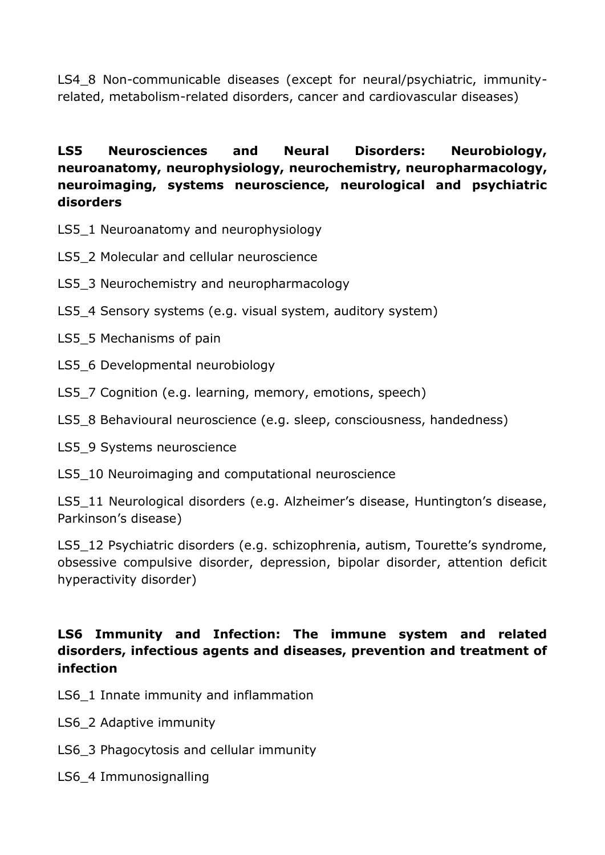LS4 8 Non-communicable diseases (except for neural/psychiatric, immunityrelated, metabolism-related disorders, cancer and cardiovascular diseases)

## **LS5 Neurosciences and Neural Disorders: Neurobiology, neuroanatomy, neurophysiology, neurochemistry, neuropharmacology, neuroimaging, systems neuroscience, neurological and psychiatric disorders**

- LS5\_1 Neuroanatomy and neurophysiology
- LS5\_2 Molecular and cellular neuroscience
- LS5\_3 Neurochemistry and neuropharmacology
- LS5 4 Sensory systems (e.g. visual system, auditory system)
- LS5 5 Mechanisms of pain
- LS5\_6 Developmental neurobiology
- LS5\_7 Cognition (e.g. learning, memory, emotions, speech)
- LS5\_8 Behavioural neuroscience (e.g. sleep, consciousness, handedness)
- LS5\_9 Systems neuroscience
- LS5\_10 Neuroimaging and computational neuroscience

LS5 11 Neurological disorders (e.g. Alzheimer's disease, Huntington's disease, Parkinson's disease)

LS5 12 Psychiatric disorders (e.g. schizophrenia, autism, Tourette's syndrome, obsessive compulsive disorder, depression, bipolar disorder, attention deficit hyperactivity disorder)

#### **LS6 Immunity and Infection: The immune system and related disorders, infectious agents and diseases, prevention and treatment of infection**

- LS6 1 Innate immunity and inflammation
- LS6\_2 Adaptive immunity
- LS6\_3 Phagocytosis and cellular immunity
- LS6\_4 Immunosignalling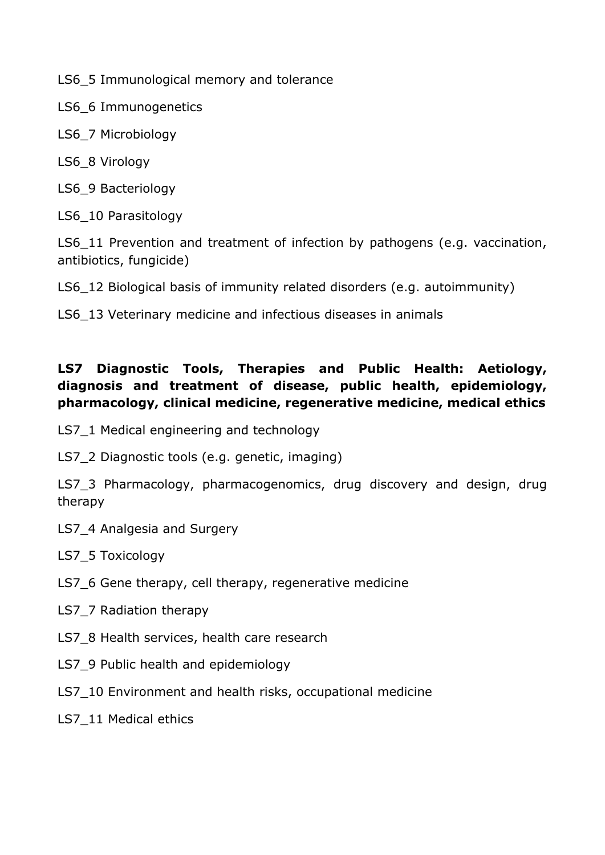LS6\_5 Immunological memory and tolerance

LS6\_6 Immunogenetics

LS6\_7 Microbiology

LS6\_8 Virology

LS6\_9 Bacteriology

LS6 10 Parasitology

LS6 11 Prevention and treatment of infection by pathogens (e.g. vaccination, antibiotics, fungicide)

LS6 12 Biological basis of immunity related disorders (e.g. autoimmunity)

LS6 13 Veterinary medicine and infectious diseases in animals

## **LS7 Diagnostic Tools, Therapies and Public Health: Aetiology, diagnosis and treatment of disease, public health, epidemiology, pharmacology, clinical medicine, regenerative medicine, medical ethics**

LS7\_1 Medical engineering and technology

LS7 2 Diagnostic tools (e.g. genetic, imaging)

LS7 3 Pharmacology, pharmacogenomics, drug discovery and design, drug therapy

LS7 4 Analgesia and Surgery

LS7\_5 Toxicology

- LS7 6 Gene therapy, cell therapy, regenerative medicine
- LS7 7 Radiation therapy
- LS7 8 Health services, health care research
- LS7 9 Public health and epidemiology
- LS7 10 Environment and health risks, occupational medicine
- LS7 11 Medical ethics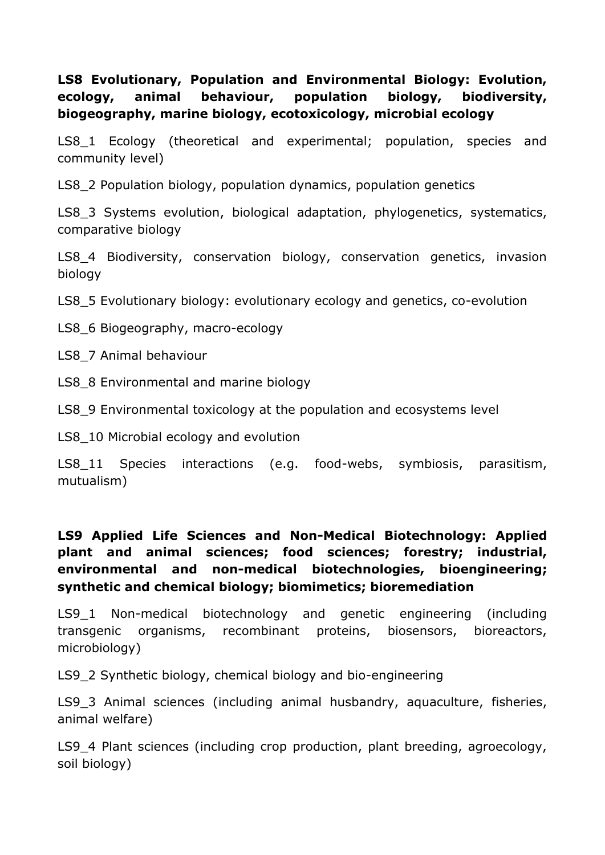## **LS8 Evolutionary, Population and Environmental Biology: Evolution, ecology, animal behaviour, population biology, biodiversity, biogeography, marine biology, ecotoxicology, microbial ecology**

LS8 1 Ecology (theoretical and experimental; population, species and community level)

LS8\_2 Population biology, population dynamics, population genetics

LS8\_3 Systems evolution, biological adaptation, phylogenetics, systematics, comparative biology

LS8 4 Biodiversity, conservation biology, conservation genetics, invasion biology

LS8\_5 Evolutionary biology: evolutionary ecology and genetics, co-evolution

LS8\_6 Biogeography, macro-ecology

LS8\_7 Animal behaviour

LS8 8 Environmental and marine biology

LS8<sub>9</sub> Environmental toxicology at the population and ecosystems level

LS8\_10 Microbial ecology and evolution

LS8 11 Species interactions (e.g. food-webs, symbiosis, parasitism, mutualism)

**LS9 Applied Life Sciences and Non-Medical Biotechnology: Applied plant and animal sciences; food sciences; forestry; industrial, environmental and non-medical biotechnologies, bioengineering; synthetic and chemical biology; biomimetics; bioremediation** 

LS9 1 Non-medical biotechnology and genetic engineering (including transgenic organisms, recombinant proteins, biosensors, bioreactors, microbiology)

LS9\_2 Synthetic biology, chemical biology and bio-engineering

LS9\_3 Animal sciences (including animal husbandry, aquaculture, fisheries, animal welfare)

LS9 4 Plant sciences (including crop production, plant breeding, agroecology, soil biology)